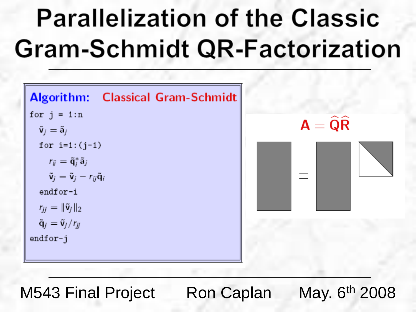# **Parallelization of the Classic Gram-Schmidt QR-Factorization**

| <b>Algorithm:</b> Classical Gram-Schmidt                                   |  |
|----------------------------------------------------------------------------|--|
| for $j = 1:n$                                                              |  |
| $\tilde{\mathbf{v}}_i = \tilde{\mathbf{a}}_i$                              |  |
| for $i=1$ : $(j-1)$                                                        |  |
| $r_{ij} = \tilde{q}_i^* \tilde{a}_j$                                       |  |
| $\tilde{\mathbf{v}}_j = \tilde{\mathbf{v}}_j - r_{ij}\tilde{\mathbf{q}}_j$ |  |
| endfor-i                                                                   |  |
| $r_{ii} = \ \tilde{\mathbf{v}}_i\ _2$                                      |  |
| $\tilde{\mathbf{q}}_j = \tilde{\mathbf{v}}_j/r_{jj}$                       |  |
| endfor-j                                                                   |  |
|                                                                            |  |



M543 Final Project Ron Caplan May. 6th 2008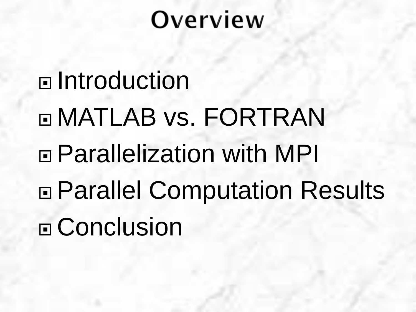# Overview

□ Introduction MATLAB vs. FORTRAN Parallelization with MPI Parallel Computation Results □ Conclusion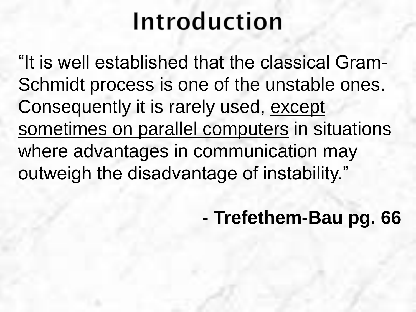## Introduction

"It is well established that the classical Gram-Schmidt process is one of the unstable ones. Consequently it is rarely used, except sometimes on parallel computers in situations where advantages in communication may outweigh the disadvantage of instability."

**- Trefethem-Bau pg. 66**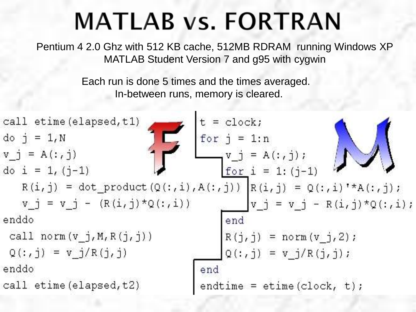### **MATLAB vs. FORTRAN**

Pentium 4 2.0 Ghz with 512 KB cache, 512MB RDRAM running Windows XP MATLAB Student Version 7 and g95 with cygwin

> Each run is done 5 times and the times averaged. In-between runs, memory is cleared.

call etime (elapsed, t1)  
\ndo j = 1,N  
\nv\_j = A(:,j)  
\ndo i = 1, (j-1)  
\nR(i,j) = dot-product(Q(:,i), A(:,j)) | R(i,j) = Q(:,i) \* A(:,j);  
\nv\_j = v\_j - (R(i,j)\*Q(:,i))  
\nenddo  
\ncall norm(v\_j, M, R(j,j))  
\nQ(:,j) = v\_j/R(j,j)  
\nenddo  
\ncall etime (elapsed, t2)  
\nendtime = etime (clock, t);  
\n
$$
\begin{bmatrix}\nt = clock;\nt = clock;\nt = clock;\nt = 1:(j-1)  
\nfor j = 1:n  
\nfor j = 1:n  
\nfor j = 1:n  
\nfor j = 1:n  
\nfor j = 1:(j-1)  
\nR(i,j) = Q(:,i) * A(:,j);\n  
\ny_j = v_j - R(i,j)*Q(:,i);  
\nendt  
\nendt
$$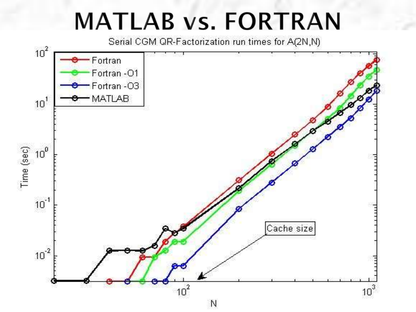#### **MATLAB vs. FORTRAN**

Serial CGM QR-Factorization run times for A(2N,N)

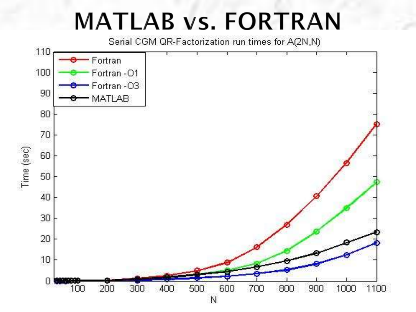#### **MATLAB vs. FORTRAN**

Serial CGM QR-Factorization run times for A(2N,N)

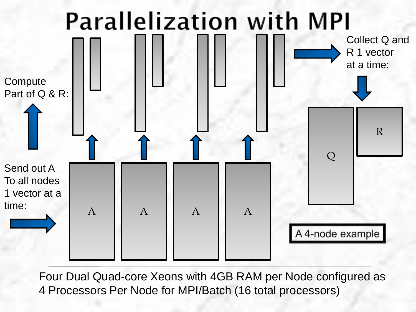

Four Dual Quad-core Xeons with 4GB RAM per Node configured as 4 Processors Per Node for MPI/Batch (16 total processors)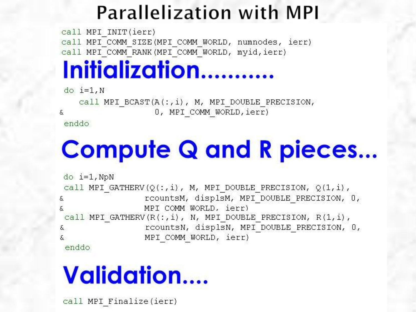#### **Parallelization with MPI**

call MPI INIT(ierr) call MPI COMM SIZE (MPI COMM WORLD, numnodes, ierr) call MPI COMM RANK (MPI COMM WORLD, myid, ierr)

#### Initialization...........

 $do$   $i=1,N$ 

call MPI BCAST $(A(:, i), M, MPI$  DOUBLE PRECISION, 0, MPI COMM WORLD, ierr)

enddo

ε

# **Compute Q and R pieces...**

```
do i=1, NpNcall MPI GATHERV(Q(:,i), M, MPI DOUBLE PRECISION, Q(1, i),
                  rcountsM, displsM, MPI DOUBLE PRECISION, 0,
&.
                  MPI COMM WORLD, ierr)
call MPI GATHERV(R(:, i), N, MPI DOUBLE PRECISION, R(1, i),
                  rcountsN, displsN, MPI DOUBLE PRECISION, 0,
δ.
\overline{\mathcal{S}}MPI COMM WORLD, ierr)
```
enddo

# **Validation....**

call MPI Finalize (ierr)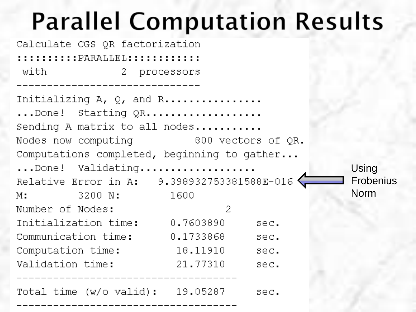# **Parallel Computation Results**

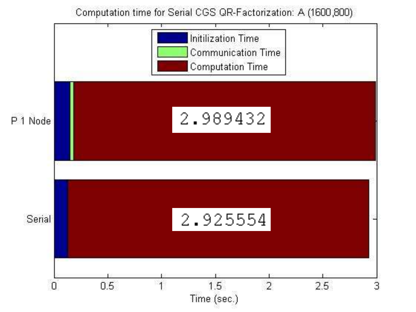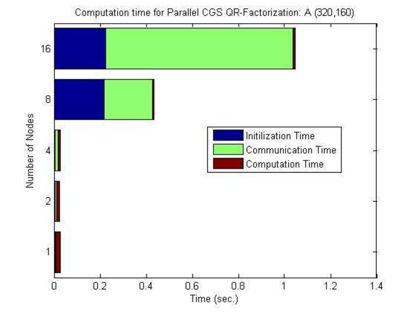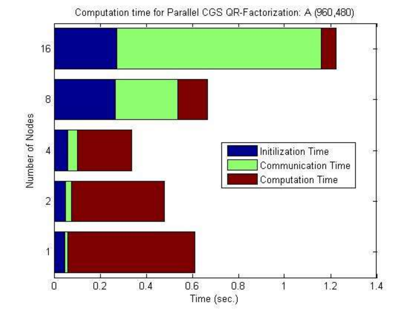

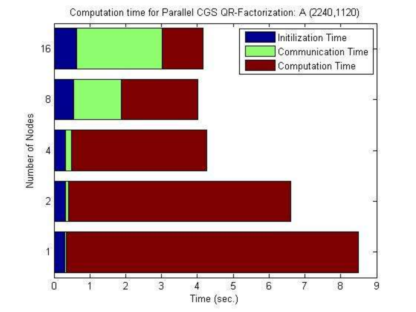

Computation time for Parallel CGS QR-Factorization: A (2240,1120)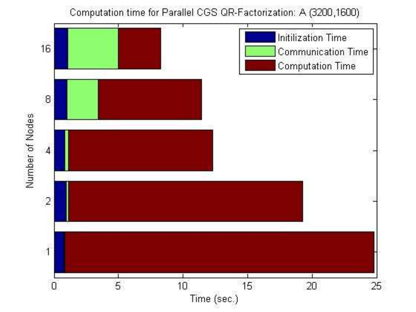

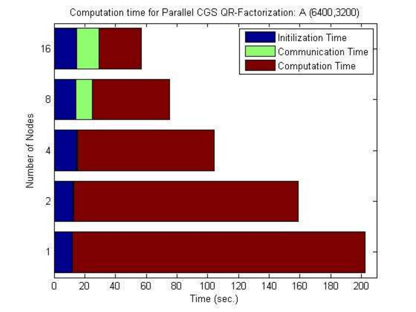

Computation time for Parallel CGS QR-Factorization: A (6400,3200)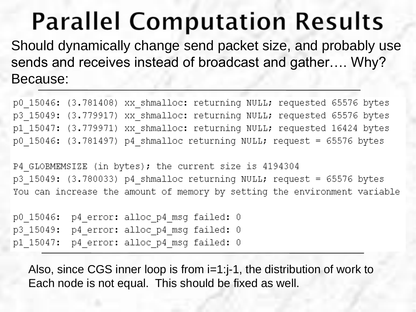# **Parallel Computation Results**

Should dynamically change send packet size, and probably use sends and receives instead of broadcast and gather…. Why? Because:

p0 15046: (3.781408) xx shmalloc: returning NULL; requested 65576 bytes p3 15049: (3.779917) xx shmalloc: returning NULL; requested 65576 bytes p1 15047: (3.779971) xx shmalloc: returning NULL; requested 16424 bytes p0 15046: (3.781497) p4 shmalloc returning NULL; request = 65576 bytes

P4 GLOBMEMSIZE (in bytes); the current size is 4194304  $p3$  15049: (3.780033)  $p4$  shmalloc returning NULL; request = 65576 bytes You can increase the amount of memory by setting the environment variable

p0 15046: p4 error: alloc p4 msg failed: 0 p3 15049: p4 error: alloc p4 msg failed: 0 p1\_15047: p4\_error: alloc\_p4\_msg failed: 0

Also, since CGS inner loop is from i=1:j-1, the distribution of work to Each node is not equal. This should be fixed as well.